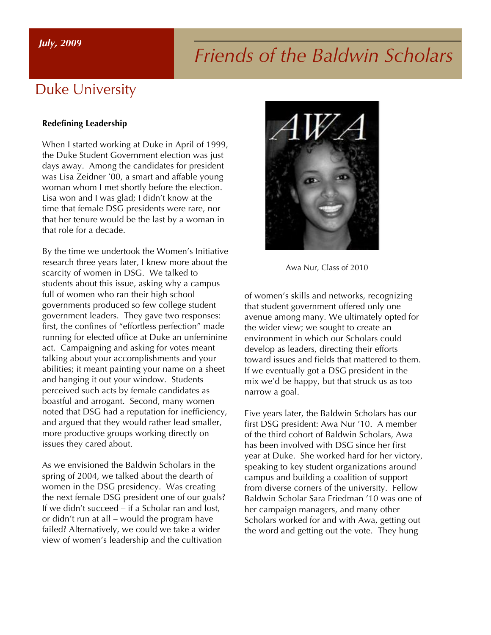#### *July, 2009*

# *Friends of the Baldwin Scholars*

## Duke University

#### **Redefining Leadership**

When I started working at Duke in April of 1999, the Duke Student Government election was just days away. Among the candidates for president was Lisa Zeidner '00, a smart and affable young woman whom I met shortly before the election. Lisa won and I was glad; I didn't know at the time that female DSG presidents were rare, nor that her tenure would be the last by a woman in that role for a decade.

By the time we undertook the Women's Initiative research three years later, I knew more about the scarcity of women in DSG. We talked to students about this issue, asking why a campus full of women who ran their high school governments produced so few college student government leaders. They gave two responses: first, the confines of "effortless perfection" made running for elected office at Duke an unfeminine act. Campaigning and asking for votes meant talking about your accomplishments and your abilities; it meant painting your name on a sheet and hanging it out your window. Students perceived such acts by female candidates as boastful and arrogant. Second, many women noted that DSG had a reputation for inefficiency, and argued that they would rather lead smaller, more productive groups working directly on issues they cared about.

As we envisioned the Baldwin Scholars in the spring of 2004, we talked about the dearth of women in the DSG presidency. Was creating the next female DSG president one of our goals? If we didn't succeed – if a Scholar ran and lost, or didn't run at all – would the program have failed? Alternatively, we could we take a wider view of women's leadership and the cultivation



Awa Nur, Class of 2010

of women's skills and networks, recognizing that student government offered only one avenue among many. We ultimately opted for the wider view; we sought to create an environment in which our Scholars could develop as leaders, directing their efforts toward issues and fields that mattered to them. If we eventually got a DSG president in the mix we'd be happy, but that struck us as too narrow a goal.

Five years later, the Baldwin Scholars has our first DSG president: Awa Nur '10. A member of the third cohort of Baldwin Scholars, Awa has been involved with DSG since her first year at Duke. She worked hard for her victory, speaking to key student organizations around campus and building a coalition of support from diverse corners of the university. Fellow Baldwin Scholar Sara Friedman '10 was one of her campaign managers, and many other Scholars worked for and with Awa, getting out the word and getting out the vote. They hung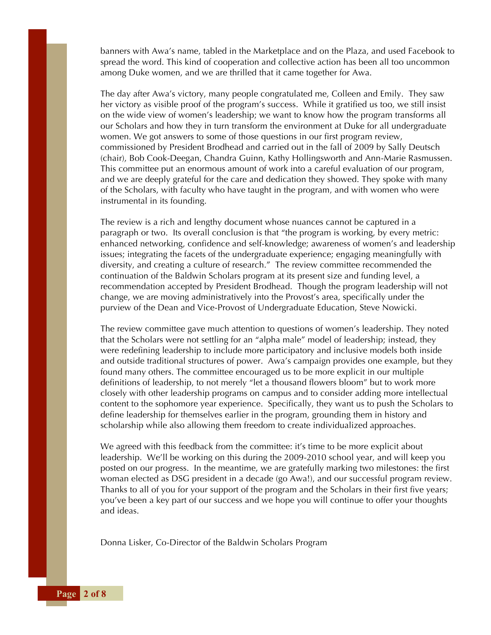banners with Awa's name, tabled in the Marketplace and on the Plaza, and used Facebook to spread the word. This kind of cooperation and collective action has been all too uncommon among Duke women, and we are thrilled that it came together for Awa.

The day after Awa's victory, many people congratulated me, Colleen and Emily. They saw her victory as visible proof of the program's success. While it gratified us too, we still insist on the wide view of women's leadership; we want to know how the program transforms all our Scholars and how they in turn transform the environment at Duke for all undergraduate women. We got answers to some of those questions in our first program review, commissioned by President Brodhead and carried out in the fall of 2009 by Sally Deutsch (chair), Bob Cook-Deegan, Chandra Guinn, Kathy Hollingsworth and Ann-Marie Rasmussen. This committee put an enormous amount of work into a careful evaluation of our program, and we are deeply grateful for the care and dedication they showed. They spoke with many of the Scholars, with faculty who have taught in the program, and with women who were instrumental in its founding.

The review is a rich and lengthy document whose nuances cannot be captured in a paragraph or two. Its overall conclusion is that "the program is working, by every metric: enhanced networking, confidence and self-knowledge; awareness of women's and leadership issues; integrating the facets of the undergraduate experience; engaging meaningfully with diversity, and creating a culture of research." The review committee recommended the continuation of the Baldwin Scholars program at its present size and funding level, a recommendation accepted by President Brodhead. Though the program leadership will not change, we are moving administratively into the Provost's area, specifically under the purview of the Dean and Vice-Provost of Undergraduate Education, Steve Nowicki.

The review committee gave much attention to questions of women's leadership. They noted that the Scholars were not settling for an "alpha male" model of leadership; instead, they were redefining leadership to include more participatory and inclusive models both inside and outside traditional structures of power. Awa's campaign provides one example, but they found many others. The committee encouraged us to be more explicit in our multiple definitions of leadership, to not merely "let a thousand flowers bloom" but to work more closely with other leadership programs on campus and to consider adding more intellectual content to the sophomore year experience. Specifically, they want us to push the Scholars to define leadership for themselves earlier in the program, grounding them in history and scholarship while also allowing them freedom to create individualized approaches.

We agreed with this feedback from the committee: it's time to be more explicit about leadership. We'll be working on this during the 2009-2010 school year, and will keep you posted on our progress. In the meantime, we are gratefully marking two milestones: the first woman elected as DSG president in a decade (go Awa!), and our successful program review. Thanks to all of you for your support of the program and the Scholars in their first five years; you've been a key part of our success and we hope you will continue to offer your thoughts and ideas.

Donna Lisker, Co-Director of the Baldwin Scholars Program

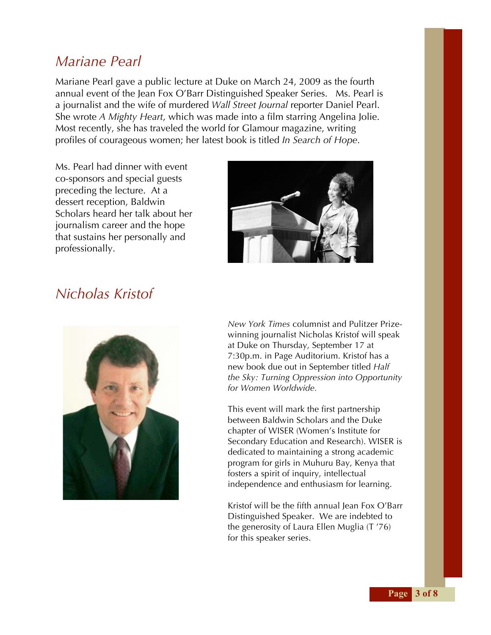### *Mariane Pearl*

Mariane Pearl gave a public lecture at Duke on March 24, 2009 as the fourth annual event of the Jean Fox O'Barr Distinguished Speaker Series. Ms. Pearl is a journalist and the wife of murdered *Wall Street Journal* reporter Daniel Pearl. She wrote *A Mighty Heart*, which was made into a film starring Angelina Jolie. Most recently, she has traveled the world for Glamour magazine, writing profiles of courageous women; her latest book is titled *In Search of Hope*.

Ms. Pearl had dinner with event co-sponsors and special guests preceding the lecture. At a dessert reception, Baldwin Scholars heard her talk about her journalism career and the hope that sustains her personally and professionally.



## *Nicholas Kristof*



*New York Times* columnist and Pulitzer Prizewinning journalist Nicholas Kristof will speak at Duke on Thursday, September 17 at 7:30p.m. in Page Auditorium. Kristof has a new book due out in September titled *Half the Sky: Turning Oppression into Opportunity for Women Worldwide.*

This event will mark the first partnership between Baldwin Scholars and the Duke chapter of WISER (Women's Institute for Secondary Education and Research). WISER is dedicated to maintaining a strong academic program for girls in Muhuru Bay, Kenya that fosters a spirit of inquiry, intellectual independence and enthusiasm for learning.

Kristof will be the fifth annual Jean Fox O'Barr Distinguished Speaker. We are indebted to the generosity of Laura Ellen Muglia (T '76) for this speaker series.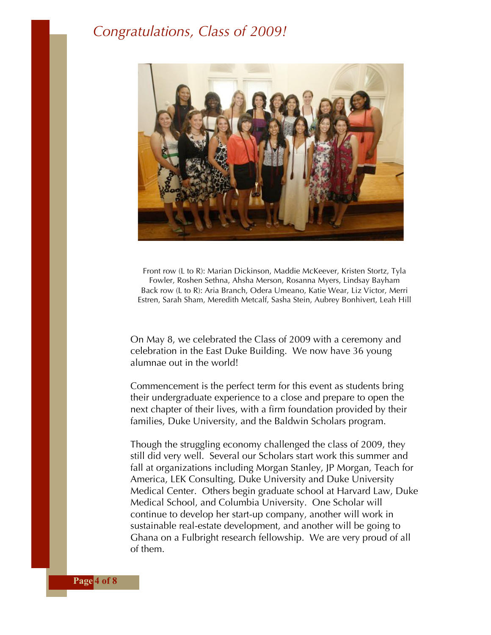### *Congratulations, Class of 2009!*



Front row (L to R): Marian Dickinson, Maddie McKeever, Kristen Stortz, Tyla Fowler, Roshen Sethna, Ahsha Merson, Rosanna Myers, Lindsay Bayham Back row (L to R): Aria Branch, Odera Umeano, Katie Wear, Liz Victor, Merri Estren, Sarah Sham, Meredith Metcalf, Sasha Stein, Aubrey Bonhivert, Leah Hill

On May 8, we celebrated the Class of 2009 with a ceremony and celebration in the East Duke Building. We now have 36 young alumnae out in the world!

Commencement is the perfect term for this event as students bring their undergraduate experience to a close and prepare to open the next chapter of their lives, with a firm foundation provided by their families, Duke University, and the Baldwin Scholars program.

Though the struggling economy challenged the class of 2009, they still did very well. Several our Scholars start work this summer and fall at organizations including Morgan Stanley, JP Morgan, Teach for America, LEK Consulting, Duke University and Duke University Medical Center. Others begin graduate school at Harvard Law, Duke Medical School, and Columbia University. One Scholar will continue to develop her start-up company, another will work in sustainable real-estate development, and another will be going to Ghana on a Fulbright research fellowship. We are very proud of all of them.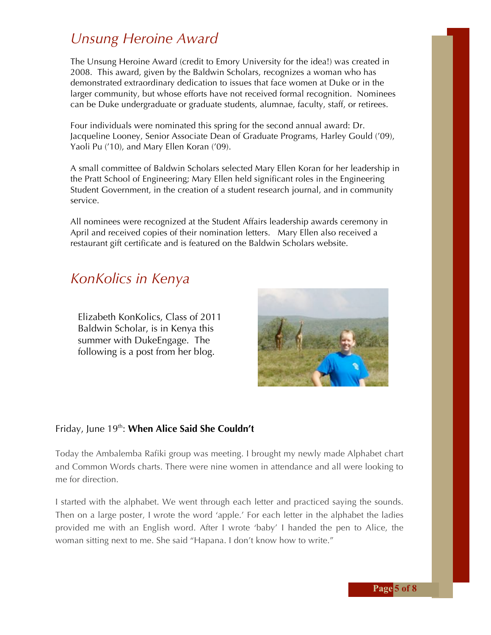## *Unsung Heroine Award*

The Unsung Heroine Award (credit to Emory University for the idea!) was created in 2008. This award, given by the Baldwin Scholars, recognizes a woman who has demonstrated extraordinary dedication to issues that face women at Duke or in the larger community, but whose efforts have not received formal recognition. Nominees can be Duke undergraduate or graduate students, alumnae, faculty, staff, or retirees.

Four individuals were nominated this spring for the second annual award: Dr. Jacqueline Looney, Senior Associate Dean of Graduate Programs, Harley Gould ('09), Yaoli Pu ('10), and Mary Ellen Koran ('09).

A small committee of Baldwin Scholars selected Mary Ellen Koran for her leadership in the Pratt School of Engineering; Mary Ellen held significant roles in the Engineering Student Government, in the creation of a student research journal, and in community service.

All nominees were recognized at the Student Affairs leadership awards ceremony in April and received copies of their nomination letters. Mary Ellen also received a restaurant gift certificate and is featured on the Baldwin Scholars website.

### *KonKolics in Kenya*

Elizabeth KonKolics, Class of 2011 Baldwin Scholar, is in Kenya this summer with DukeEngage. The following is a post from her blog.



#### Friday, June 19<sup>th</sup>: When Alice Said She Couldn't

Today the Ambalemba Rafiki group was meeting. I brought my newly made Alphabet chart and Common Words charts. There were nine women in attendance and all were looking to me for direction.

I started with the alphabet. We went through each letter and practiced saying the sounds. Then on a large poster, I wrote the word 'apple.' For each letter in the alphabet the ladies provided me with an English word. After I wrote 'baby' I handed the pen to Alice, the woman sitting next to me. She said "Hapana. I don't know how to write."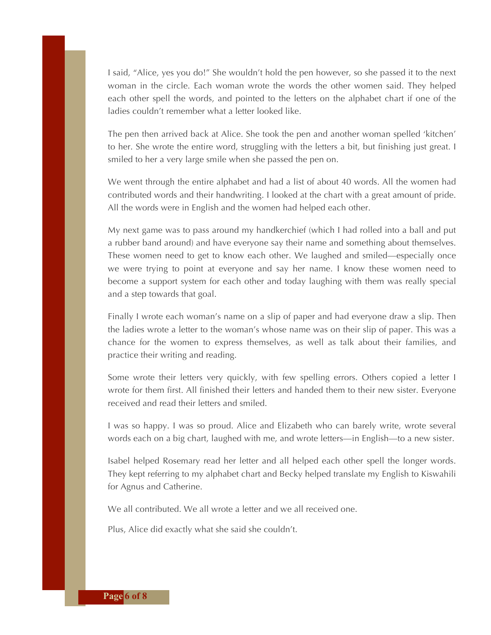I said, "Alice, yes you do!" She wouldn't hold the pen however, so she passed it to the next woman in the circle. Each woman wrote the words the other women said. They helped each other spell the words, and pointed to the letters on the alphabet chart if one of the ladies couldn't remember what a letter looked like.

The pen then arrived back at Alice. She took the pen and another woman spelled 'kitchen' to her. She wrote the entire word, struggling with the letters a bit, but finishing just great. I smiled to her a very large smile when she passed the pen on.

We went through the entire alphabet and had a list of about 40 words. All the women had contributed words and their handwriting. I looked at the chart with a great amount of pride. All the words were in English and the women had helped each other.

My next game was to pass around my handkerchief (which I had rolled into a ball and put a rubber band around) and have everyone say their name and something about themselves. These women need to get to know each other. We laughed and smiled—especially once we were trying to point at everyone and say her name. I know these women need to become a support system for each other and today laughing with them was really special and a step towards that goal.

Finally I wrote each woman's name on a slip of paper and had everyone draw a slip. Then the ladies wrote a letter to the woman's whose name was on their slip of paper. This was a chance for the women to express themselves, as well as talk about their families, and practice their writing and reading.

Some wrote their letters very quickly, with few spelling errors. Others copied a letter I wrote for them first. All finished their letters and handed them to their new sister. Everyone received and read their letters and smiled.

I was so happy. I was so proud. Alice and Elizabeth who can barely write, wrote several words each on a big chart, laughed with me, and wrote letters—in English—to a new sister.

Isabel helped Rosemary read her letter and all helped each other spell the longer words. They kept referring to my alphabet chart and Becky helped translate my English to Kiswahili for Agnus and Catherine.

We all contributed. We all wrote a letter and we all received one.

Plus, Alice did exactly what she said she couldn't.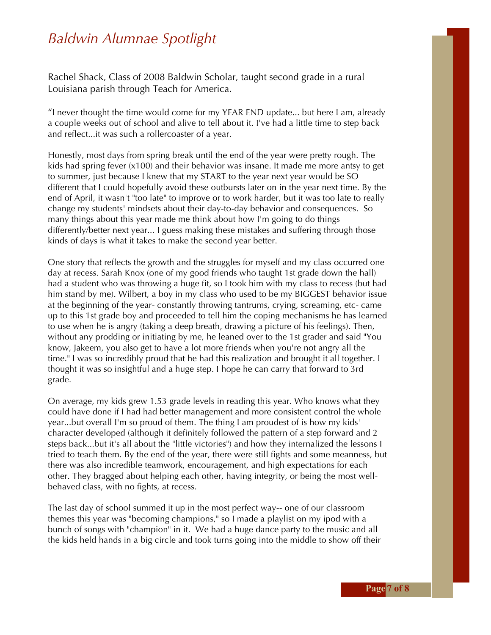## *Baldwin Alumnae Spotlight*

Rachel Shack, Class of 2008 Baldwin Scholar, taught second grade in a rural Louisiana parish through Teach for America.

"I never thought the time would come for my YEAR END update... but here I am, already a couple weeks out of school and alive to tell about it. I've had a little time to step back and reflect...it was such a rollercoaster of a year.

Honestly, most days from spring break until the end of the year were pretty rough. The kids had spring fever (x100) and their behavior was insane. It made me more antsy to get to summer, just because I knew that my START to the year next year would be SO different that I could hopefully avoid these outbursts later on in the year next time. By the end of April, it wasn't "too late" to improve or to work harder, but it was too late to really change my students' mindsets about their day-to-day behavior and consequences. So many things about this year made me think about how I'm going to do things differently/better next year... I guess making these mistakes and suffering through those kinds of days is what it takes to make the second year better.

One story that reflects the growth and the struggles for myself and my class occurred one day at recess. Sarah Knox (one of my good friends who taught 1st grade down the hall) had a student who was throwing a huge fit, so I took him with my class to recess (but had him stand by me). Wilbert, a boy in my class who used to be my BIGGEST behavior issue at the beginning of the year- constantly throwing tantrums, crying, screaming, etc- came up to this 1st grade boy and proceeded to tell him the coping mechanisms he has learned to use when he is angry (taking a deep breath, drawing a picture of his feelings). Then, without any prodding or initiating by me, he leaned over to the 1st grader and said "You know, Jakeem, you also get to have a lot more friends when you're not angry all the time." I was so incredibly proud that he had this realization and brought it all together. I thought it was so insightful and a huge step. I hope he can carry that forward to 3rd grade.

On average, my kids grew 1.53 grade levels in reading this year. Who knows what they could have done if I had had better management and more consistent control the whole year...but overall I'm so proud of them. The thing I am proudest of is how my kids' character developed (although it definitely followed the pattern of a step forward and 2 steps back...but it's all about the "little victories") and how they internalized the lessons I tried to teach them. By the end of the year, there were still fights and some meanness, but there was also incredible teamwork, encouragement, and high expectations for each other. They bragged about helping each other, having integrity, or being the most wellbehaved class, with no fights, at recess.

The last day of school summed it up in the most perfect way-- one of our classroom themes this year was "becoming champions," so I made a playlist on my ipod with a bunch of songs with "champion" in it. We had a huge dance party to the music and all the kids held hands in a big circle and took turns going into the middle to show off their